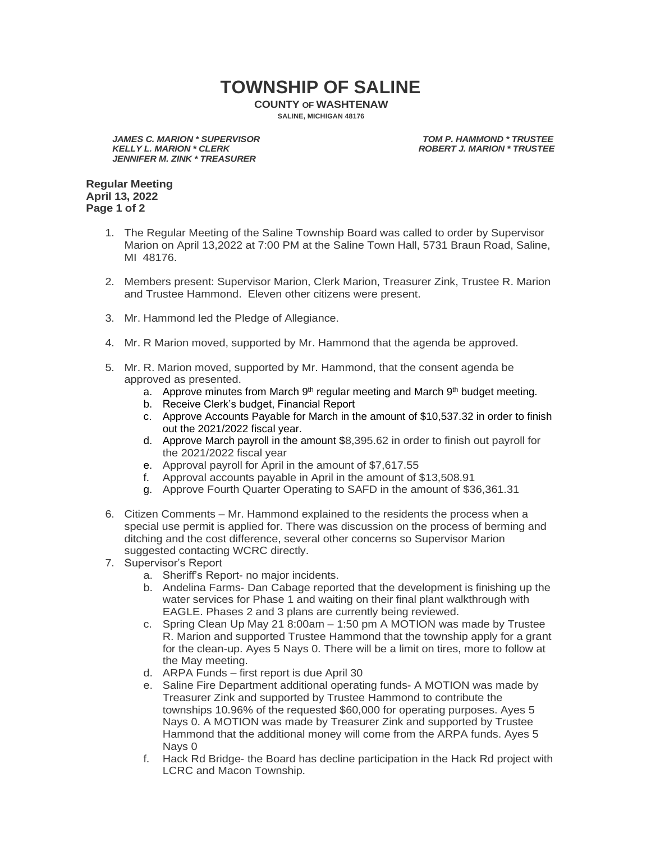## **TOWNSHIP OF SALINE**

**COUNTY OF WASHTENAW SALINE, MICHIGAN 48176**

*JAMES C. MARION \* SUPERVISOR TOM P. HAMMOND \* TRUSTEE JENNIFER M. ZINK \* TREASURER*

**ROBERT J. MARION \* TRUSTEE** 

**Regular Meeting April 13, 2022 Page 1 of 2**

- 1. The Regular Meeting of the Saline Township Board was called to order by Supervisor Marion on April 13,2022 at 7:00 PM at the Saline Town Hall, 5731 Braun Road, Saline, MI 48176.
- 2. Members present: Supervisor Marion, Clerk Marion, Treasurer Zink, Trustee R. Marion and Trustee Hammond. Eleven other citizens were present.
- 3. Mr. Hammond led the Pledge of Allegiance.
- 4. Mr. R Marion moved, supported by Mr. Hammond that the agenda be approved.
- 5. Mr. R. Marion moved, supported by Mr. Hammond, that the consent agenda be approved as presented.
	- a. Approve minutes from March 9<sup>th</sup> regular meeting and March 9<sup>th</sup> budget meeting.
	- b. Receive Clerk's budget, Financial Report
	- c. Approve Accounts Payable for March in the amount of \$10,537.32 in order to finish out the 2021/2022 fiscal year.
	- d. Approve March payroll in the amount \$8,395.62 in order to finish out payroll for the 2021/2022 fiscal year
	- e. Approval payroll for April in the amount of \$7,617.55
	- f. Approval accounts payable in April in the amount of \$13,508.91
	- g. Approve Fourth Quarter Operating to SAFD in the amount of \$36,361.31
- 6. Citizen Comments Mr. Hammond explained to the residents the process when a special use permit is applied for. There was discussion on the process of berming and ditching and the cost difference, several other concerns so Supervisor Marion suggested contacting WCRC directly.
- 7. Supervisor's Report
	- a. Sheriff's Report- no major incidents.
	- b. Andelina Farms- Dan Cabage reported that the development is finishing up the water services for Phase 1 and waiting on their final plant walkthrough with EAGLE. Phases 2 and 3 plans are currently being reviewed.
	- c. Spring Clean Up May 21 8:00am 1:50 pm A MOTION was made by Trustee R. Marion and supported Trustee Hammond that the township apply for a grant for the clean-up. Ayes 5 Nays 0. There will be a limit on tires, more to follow at the May meeting.
	- d. ARPA Funds first report is due April 30
	- e. Saline Fire Department additional operating funds- A MOTION was made by Treasurer Zink and supported by Trustee Hammond to contribute the townships 10.96% of the requested \$60,000 for operating purposes. Ayes 5 Nays 0. A MOTION was made by Treasurer Zink and supported by Trustee Hammond that the additional money will come from the ARPA funds. Ayes 5 Nays 0
	- f. Hack Rd Bridge- the Board has decline participation in the Hack Rd project with LCRC and Macon Township.